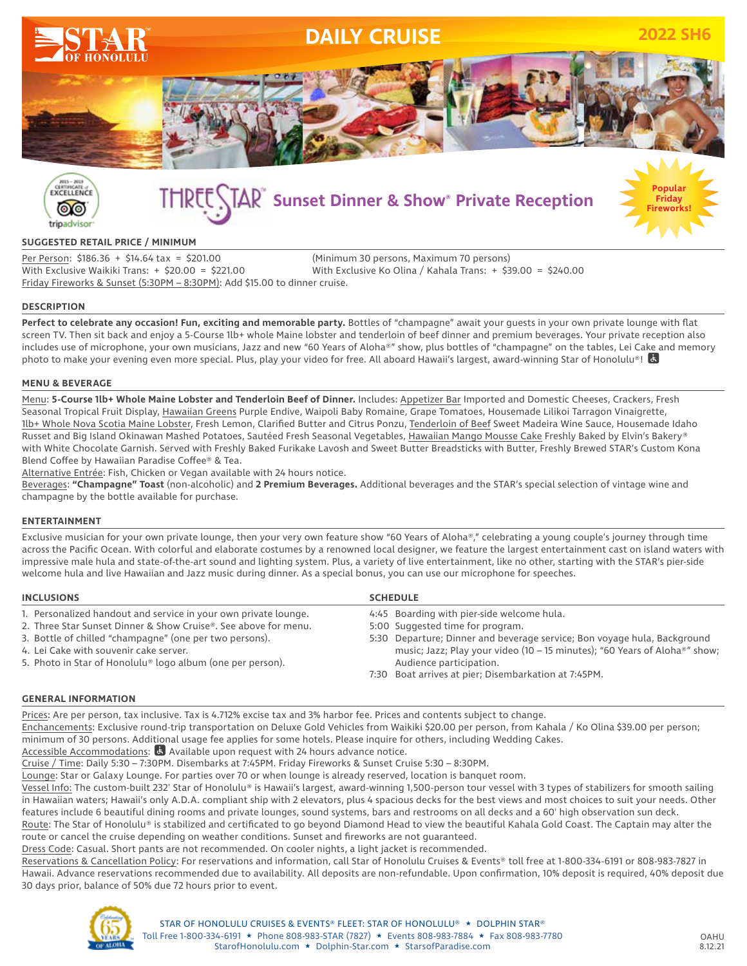



# **Sunset Dinner & Show® Private Reception**



## **SUGGESTED RETAIL PRICE / MINIMUM**

Per Person: \$186.36 + \$14.64 tax = \$201.00 (Minimum 30 persons, Maximum 70 persons) With Exclusive Waikiki Trans: + \$20.00 = \$221.00 With Exclusive Ko Olina / Kahala Trans: + \$39.00 = \$240.00 Friday Fireworks & Sunset (5:30PM – 8:30PM): Add \$15.00 to dinner cruise.

## **DESCRIPTION**

**Perfect to celebrate any occasion! Fun, exciting and memorable party.** Bottles of "champagne" await your guests in your own private lounge with flat screen TV. Then sit back and enjoy a 5-Course 1lb+ whole Maine lobster and tenderloin of beef dinner and premium beverages. Your private reception also includes use of microphone, your own musicians, Jazz and new "60 Years of Aloha®" show, plus bottles of "champagne" on the tables, Lei Cake and memory photo to make your evening even more special. Plus, play your video for free. All aboard Hawaii's largest, award-winning Star of Honolulu®!

## **MENU & BEVERAGE**

Menu: **5-Course 1lb+ Whole Maine Lobster and Tenderloin Beef of Dinner.** Includes: Appetizer Bar Imported and Domestic Cheeses, Crackers, Fresh Seasonal Tropical Fruit Display, Hawaiian Greens Purple Endive, Waipoli Baby Romaine, Grape Tomatoes, Housemade Lilikoi Tarragon Vinaigrette, 1lb+ Whole Nova Scotia Maine Lobster, Fresh Lemon, Clarified Butter and Citrus Ponzu, Tenderloin of Beef Sweet Madeira Wine Sauce, Housemade Idaho Russet and Big Island Okinawan Mashed Potatoes, Sautéed Fresh Seasonal Vegetables, Hawaiian Mango Mousse Cake Freshly Baked by Elvin's Bakery® with White Chocolate Garnish. Served with Freshly Baked Furikake Lavosh and Sweet Butter Breadsticks with Butter, Freshly Brewed STAR's Custom Kona Blend Coffee by Hawaiian Paradise Coffee® & Tea.

Alternative Entrée: Fish, Chicken or Vegan available with 24 hours notice.

Beverages: **"Champagne" Toast** (non-alcoholic) and **2 Premium Beverages.** Additional beverages and the STAR's special selection of vintage wine and champagne by the bottle available for purchase.

#### **ENTERTAINMENT**

Exclusive musician for your own private lounge, then your very own feature show "60 Years of Aloha®," celebrating a young couple's journey through time across the Pacific Ocean. With colorful and elaborate costumes by a renowned local designer, we feature the largest entertainment cast on island waters with impressive male hula and state-of-the-art sound and lighting system. Plus, a variety of live entertainment, like no other, starting with the STAR's pier-side welcome hula and live Hawaiian and Jazz music during dinner. As a special bonus, you can use our microphone for speeches.

| <b>INCLUSIONS</b>                                               | <b>SCHEDULE</b>                                                                         |
|-----------------------------------------------------------------|-----------------------------------------------------------------------------------------|
| 1. Personalized handout and service in your own private lounge. | 4:45 Boarding with pier-side welcome hula.                                              |
| 2. Three Star Sunset Dinner & Show Cruise®. See above for menu. | 5:00 Suggested time for program.                                                        |
| 3. Bottle of chilled "champagne" (one per two persons).         | 5:30 Departure; Dinner and beverage service; Bon voyage hula, Background                |
| 4. Lei Cake with souvenir cake server.                          | music; Jazz; Play your video (10 – 15 minutes); "60 Years of Aloha <sup>®</sup> " show; |
| 5. Photo in Star of Honolulu® logo album (one per person).      | Audience participation.                                                                 |
|                                                                 | 7:30 Boat arrives at pier; Disembarkation at 7:45PM.                                    |

#### **GENERAL INFORMATION**

Prices: Are per person, tax inclusive. Tax is 4.712% excise tax and 3% harbor fee. Prices and contents subject to change. Enchancements: Exclusive round-trip transportation on Deluxe Gold Vehicles from Waikiki \$20.00 per person, from Kahala / Ko Olina \$39.00 per person; minimum of 30 persons. Additional usage fee applies for some hotels. Please inquire for others, including Wedding Cakes.

Accessible Accommodations: **A** Available upon request with 24 hours advance notice.

Cruise / Time: Daily 5:30 – 7:30PM. Disembarks at 7:45PM. Friday Fireworks & Sunset Cruise 5:30 – 8:30PM.

Lounge: Star or Galaxy Lounge. For parties over 70 or when lounge is already reserved, location is banquet room.

Vessel Info: The custom-built 232' Star of Honolulu® is Hawaii's largest, award-winning 1,500-person tour vessel with 3 types of stabilizers for smooth sailing in Hawaiian waters; Hawaii's only A.D.A. compliant ship with 2 elevators, plus 4 spacious decks for the best views and most choices to suit your needs. Other features include 6 beautiful dining rooms and private lounges, sound systems, bars and restrooms on all decks and a 60' high observation sun deck. Route: The Star of Honolulu® is stabilized and certificated to go beyond Diamond Head to view the beautiful Kahala Gold Coast. The Captain may alter the

route or cancel the cruise depending on weather conditions. Sunset and fireworks are not guaranteed.

Dress Code: Casual. Short pants are not recommended. On cooler nights, a light jacket is recommended.

Reservations & Cancellation Policy: For reservations and information, call Star of Honolulu Cruises & Events® toll free at 1-800-334-6191 or 808-983-7827 in Hawaii. Advance reservations recommended due to availability. All deposits are non-refundable. Upon confirmation, 10% deposit is required, 40% deposit due 30 days prior, balance of 50% due 72 hours prior to event.